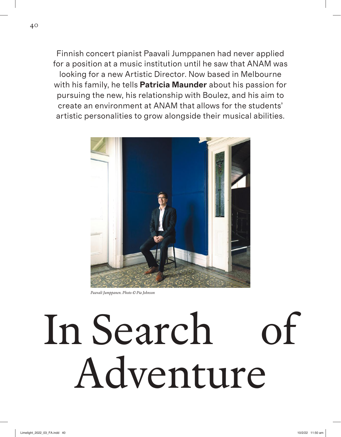Finnish concert pianist Paavali Jumppanen had never applied for a position at a music institution until he saw that ANAM was looking for a new Artistic Director. Now based in Melbourne with his family, he tells **Patricia Maunder** about his passion for pursuing the new, his relationship with Boulez, and his aim to create an environment at ANAM that allows for the students' artistic personalities to grow alongside their musical abilities.



*Paavali Jumppanen. Photo © Pia Johnson*

## In Search of Adventure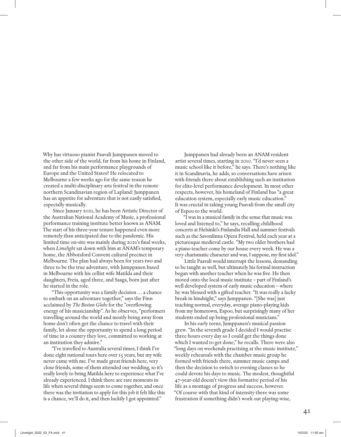Why has virtuoso pianist Paavali Jumppanen moved to the other side of the world, far from his home in Finland, and far from his main performance playgrounds of Europe and the United States? He relocated to Melbourne a few weeks ago for the same reason he created a multi-disciplinary arts festival in the remote northern Scandinavian region of Lapland: Jumppanen has an appetite for adventure that is not easily satisfied, especially musically.

Since January 2021, he has been Artistic Director of the Australian National Academy of Music, a professional performance training institute better known as ANAM. The start of his three-year tenure happened even more remotely than anticipated due to the pandemic. His limited time on-site was mainly during 2021's final weeks, when *Limelight* sat down with him at ANAM's temporary home, the Abbotsford Convent cultural precinct in Melbourne. The plan had always been for years two and three to be the true adventure, with Jumppanen based in Melbourne with his cellist wife Matilda and their daughters, Freia, aged three, and Saaga, born just after he started in the role.

"This opportunity was a family decision . . . a chance to embark on an adventure together," says the Finn acclaimed by *The Boston Globe* for the "overflowing energy of his musicianship". As he observes, "performers travelling around the world and mostly being away from home don't often get the chance to travel with their family, let alone the opportunity to spend a long period of time in a country they love, committed to working at an institution they admire."

"I've travelled to Australia several times; I think I've done eight national tours here over 15 years, but my wife never came with me. I've made great friends here, very close friends, some of them attended our wedding, so it's really lovely to bring Matilda here to experience what I've already experienced. I think there are rare moments in life when several things seem to come together, and once there was the invitation to apply for this job it felt like this is a chance, we'll do it, and then luckily I got appointed."

Jumppanen had already been an ANAM resident artist several times, starting in 2010. "I'd never seen a music school like it before," he says. There's nothing like it in Scandinavia, he adds, so conversations have arisen with friends there about establishing such an institution for elite-level performance development. In most other respects, however, his homeland of Finland has "a great education system, especially early music education." It was crucial in taking young Paavali from the small city of Espoo to the world.

"I was in a musical family in the sense that music was loved and listened to," he says, recalling childhood concerts at Helsinki's Finlandia Hall and summer festivals such as the Savonlinna Opera Festival, held each year at a picturesque medieval castle. "My two older brothers had a piano teacher come by our house every week. He was a very charismatic character and was, I suppose, my first idol."

Little Paavali would interrupt the lessons, demanding to be taught as well, but ultimately his formal instruction began with another teacher when he was five. He then moved onto the local music institute – part of Finland's well developed system of early music education – where he was blessed with a gifted teacher. "It was really a lucky break in hindsight," says Jumppanen. "[She was] just teaching normal, everyday, average piano-playing kids from my hometown, Espoo, but surprisingly many of her students ended up being professional musicians."

In his early teens, Jumppanen's musical passion grew. "In the seventh grade I decided I would practise three hours every day so I could get the things done which I wanted to get done," he recalls. There were also "long days on weekends practising at the music institute," weekly rehearsals with the chamber music group he formed with friends there, summer music camps and then the decision to switch to evening classes so he could devote his days to music. The modest, thoughtful 47-year-old doesn't view this formative period of his life as a montage of progress and success, however. "Of course with that kind of intensity there was some frustration if something didn't work out playing-wise,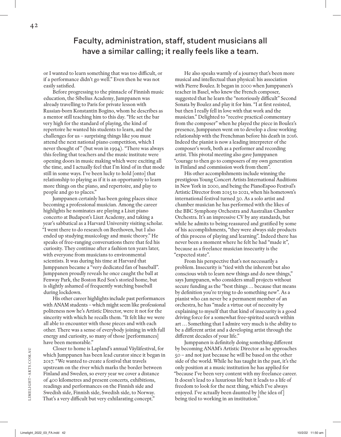Faculty, administration, staff, student musicians all have a similar calling; it really feels like a team.

or I wanted to learn something that was too difficult, or if a performance didn't go well." Even then he was not easily satisfied.

Before progressing to the pinnacle of Finnish music education, the Sibelius Academy, Jumppanen was already travelling to Paris for private lesson with Russian-born Konstantin Bogino, whom he describes as a mentor still teaching him to this day. "He set the bar very high for the standard of playing, the kind of repertoire he wanted his students to learn, and the challenges for us – surprising things like you must attend the next national piano competition, which I never thought of" (but won in 1994). "There was always this feeling that teachers and the music institute were opening doors in music making which were exciting all the time, and I actually feel that I'm kind of in that mode still in some ways. I've been lucky to hold [onto] that relationship to playing as if it is an opportunity to learn more things on the piano, and repertoire, and play to people and go to places."

Jumppanen certainly has been going places since becoming a professional musician. Among the career highlights he nominates are playing a Liszt piano concerto at Budapest's Liszt Academy, and taking a year's sabbatical as a Harvard University visiting scholar. "I went there to do research on Beethoven, but I also ended up studying musicology and music theory." He speaks of free-ranging conversations there that fed his curiosity. They continue after a fashion ten years later, with everyone from musicians to environmental scientists. It was during his time at Harvard that Jumppanen became a "very dedicated fan of baseball". Jumppanen proudly reveals he once caught the ball at Fenway Park, the Boston Red Sox's storied home, but is slightly ashamed of frequently watching baseball during lockdown.

His other career highlights include past performances with ANAM students – which might seem like professional politeness now he's Artistic Director, were it not for the sincerity with which he recalls them. "It felt like we were all able to encounter with those pieces and with each other. There was a sense of everybody joining in with full energy and curiosity, so many of those [performances] have been memorable."

Closer to home is Lapland's annual Väyläfestival, for which Jumppanen has been lead curator since it began in 2017. "We wanted to create a festival that travels upstream on the river which marks the border between Finland and Sweden, so every year we cover a distance of 400 kilometres and present concerts, exhibitions, readings and performances on the Finnish side and Swedish side, Finnish side, Swedish side, to Norway. That's a very difficult but very exhilarating concept."

He also speaks warmly of a journey that's been more musical and intellectual than physical: his association with Pierre Boulez. It began in 2000 when Jumppanen's teacher in Basel, who knew the French composer, suggested that he learn the "notoriously difficult" Second Sonata by Boulez and play it for him. "I at first resisted, but then I really fell in love with that work and the musician." Delighted to "receive practical commentary from the composer" when he played the piece in Boulez's presence, Jumppanen went on to develop a close working relationship with the Frenchman before his death in 2016. Indeed the pianist is now a leading interpreter of the composer's work, both as a performer and recording artist. This pivotal meeting also gave Jumppanen "courage to then go to composers of my own generation in Finland and commission work from them".

His other accomplishments include winning the prestigious Young Concert Artists International Auditions in New York in 2000, and being the PianoEspoo Festival's Artistic Director from 2015 to 2021, when his hometown's international festival turned 30. As a solo artist and chamber musician he has performed with the likes of the BBC Symphony Orchestra and Australian Chamber Orchestra. It's an impressive CV by any standards, but while he admits to being reassured and gratified by some of his accomplishments, "they were always side products of this process of playing and learning". Indeed there has never been a moment where he felt he had "made it", because as a freelance musician insecurity is the "expected state".

From his perspective that's not necessarily a problem. Insecurity is "tied with the inherent but also conscious wish to learn new things and do new things," says Jumppanen, who considers small projects without secure funding as the "best things ... because that means by definition you're trying to do something new". As a pianist who can never be a permanent member of an orchestra, he has "made a virtue out of necessity by explaining to myself that that kind of insecurity is a good driving force for a somewhat free-spirited search within art . . . Something that I admire very much is the ability to be a different artist and a developing artist through the different decades of your life."

Jumppanen is definitely doing something different by becoming ANAM's Artistic Director as he approaches 50 – and not just because he will be based on the other side of the world. While he has taught in the past, it's the only position at a music institution he has applied for "because I've been very content with my freelance career. It doesn't lead to a luxurious life but it leads to a life of freedom to look for the next thing, which I've always enjoyed. I've actually been daunted by [the idea of ] being tied to working in an institution."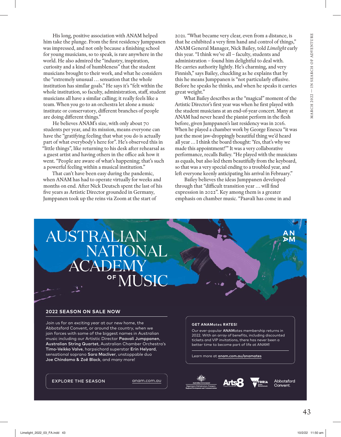His long, positive association with ANAM helped him take the plunge. From the first residency Jumppanen was impressed, and not only because a finishing school for young musicians, so to speak, is rare anywhere in the world. He also admired the "industry, inspiration, curiosity and a kind of humbleness" that the student musicians brought to their work, and what he considers the "extremely unusual ... sensation that the whole institution has similar goals." He says it's "felt within the whole institution, so faculty, administration, staff, student musicians all have a similar calling; it really feels like a team. When you go to an orchestra let alone a music institute or conservatory, different branches of people are doing different things."

He believes ANAM's size, with only about 70 students per year, and its mission, means everyone can have the "gratifying feeling that what you do is actually part of what everybody's here for". He's observed this in "little things", like returning to his desk after rehearsal as a guest artist and having others in the office ask how it went. "People are aware of what's happening; that's such a powerful feeling within a musical institution."

That can't have been easy during the pandemic, when ANAM has had to operate virtually for weeks and months on end. After Nick Deutsch spent the last of his five years as Artistic Director grounded in Germany, Jumppanen took up the reins via Zoom at the start of

2021. "What became very clear, even from a distance, is that he exhibited a very firm hand and control of things," ANAM General Manager, Nick Bailey, told *Limelight* early this year. "I think we've all – faculty, students and administration – found him delightful to deal with. He carries authority lightly. He's charming, and very Finnish," says Bailey, chuckling as he explains that by this he means Jumppanen is "not particularly effusive. Before he speaks he thinks, and when he speaks it carries great weight."

What Bailey describes as the "magical" moment of the Artistic Director's first year was when he first played with the student musicians at an end-of-year concert. Many at ANAM had never heard the pianist perform in the flesh before, given Jumppanen's last residency was in 2016. When he played a chamber work by George Enescu "it was just the most jaw-droppingly beautiful thing we'd heard all year ... I think the board thought: 'Yes, that's why we made this appointment!'" It was a very collaborative performance, recalls Bailey. "He played with the musicians as equals, but also led them beautifully from the keyboard, so that was a very special ending to a troubled year, and left everyone keenly anticipating his arrival in February."

Bailey believes the ideas Jumppanen developed through that "difficult transition year ... will find expression in 2022". Key among them is a greater emphasis on chamber music. "Paavali has come in and

## AUSTRALIAN NATIONA CADEN **JSIC**

## **2022 SEASON ON SALE NOW**

Join us for an exciting year at our new home, the Abbotsford Convent, or around the country, when we join forces with some of the biggest names in Australian music including our Artistic Director Paavali Jumppanen, Australian String Quartet, Australian Chamber Orchestra's Timo-Veikko Valve, harpsichord superstar Erin Helyard, sensational soprano Sara Macliver, unstoppable duo Joe Chindamo & Zoë Black, and many more!

EXPLORE THE SEASON **anam.com.au** 

## **GET ANAM**ates **RATES!**

Our ever-popular ANAMates membership returns in 2022. With an array of benefits, including discounted tickets and VIP invitations, there has never been a better time to become part of life at ANAM!

Learn more at anam.com.au/anamates



Abbotsford Convent.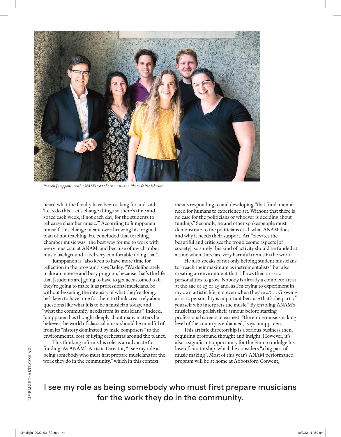

*Paavali Jumppanen with ANAM's 2021 horn musicians. Photo © Pia Johnson*

heard what the faculty have been asking for and said: 'Let's do this. Let's change things so there's time and space each week, if not each day, for the students to rehearse chamber music.'" According to Jumppanen himself, this change meant overthrowing his original plan of not teaching. He concluded that teaching chamber music was "the best way for me to work with every musician at ANAM, and because of my chamber music background I feel very comfortable doing that".

Jumppanen is "also keen to have more time for reflection in the program," says Bailey. "We deliberately make an intense and busy program, because that's the life that [students are] going to have to get accustomed to if they're going to make it as professional musicians. So without lessening the intensity of what they're doing, he's keen to have time for them to think creatively about questions like what it is to be a musician today, and "what the community needs from its musicians". Indeed, Jumppanen has thought deeply about many matters he believes the world of classical music should be mindful of, from its "history dominated by male composers" to the environmental cost of flying orchestras around the planet.

This thinking informs his role as an advocate for funding. As ANAM's Artistic Director, "I see my role as being somebody who must first prepare musicians for the work they do in the community," which in this context

means responding to and developing "that fundamental need for humans to experience art. Without that there is no case for the politicians or whoever is deciding about funding." Secondly, he and other spokespeople must demonstrate to the politicians et al. what ANAM does and why it needs their support. Art "elevates the beautiful and criticises the troublesome aspects [of society], so surely this kind of activity should be funded at a time when there are very harmful trends in the world."

He also speaks of not only helping student musicians to "reach their maximum as instrumentalists" but also creating an environment that "allows their artistic personalities to grow. Nobody is already a complete artist at the age of 23 or 25 and, as I'm trying to experiment in my own artistic life, not even when they're 47 ... Growing artistic personality is important because that's the part of yourself who interprets the music." By enabling ANAM's musicians to polish their armour before starting professional careers in earnest, "the entire music-making level of the country is enhanced," says Jumppanen.

This artistic directorship is a serious business then, requiring profound thought and insight. However, it's also a significant opportunity for the Finn to indulge his love of curatorship, which he considers "a big part of music making". Most of this year's ANAM performance program will be at home at Abbotsford Convent,

I see my role as being somebody who must first prepare musicians for the work they do in the community.